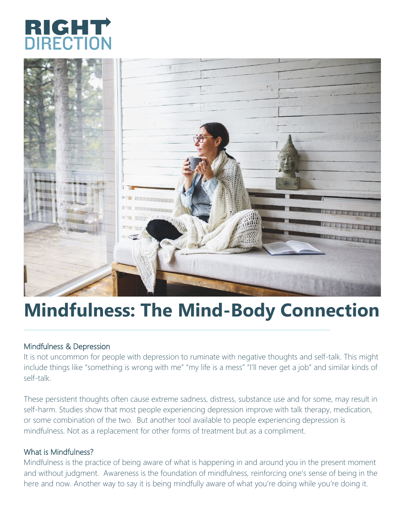



# **Mindfulness: The Mind-Body Connection**

#### Mindfulness & Depression

It is not uncommon for people with depression to ruminate with negative thoughts and self-talk. This might include things like "something is wrong with me" "my life is a mess" "I'll never get a job" and similar kinds of self-talk.

These persistent thoughts often cause extreme sadness, distress, substance use and for some, may result in self-harm. Studies show that most people experiencing depression improve with talk therapy, medication, or some combination of the two. But another tool available to people experiencing depression is mindfulness. Not as a replacement for other forms of treatment but as a compliment.

#### What is Mindfulness?

Mindfulness is the practice of being aware of what is happening in and around you in the present moment and without judgment. Awareness is the foundation of mindfulness, reinforcing one's sense of being in the here and now. Another way to say it is being mindfully aware of what you're doing while you're doing it.